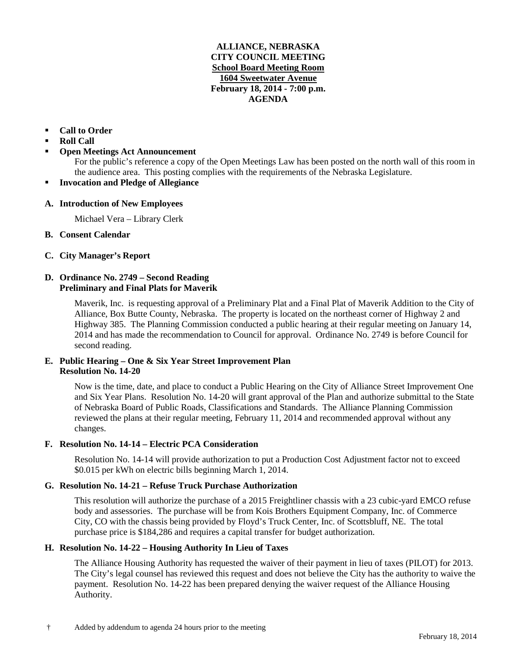### **ALLIANCE, NEBRASKA CITY COUNCIL MEETING School Board Meeting Room 1604 Sweetwater Avenue February 18, 2014 - 7:00 p.m. AGENDA**

## **Call to Order**

- **Roll Call**
- **Open Meetings Act Announcement**

For the public's reference a copy of the Open Meetings Law has been posted on the north wall of this room in the audience area. This posting complies with the requirements of the Nebraska Legislature.

**Invocation and Pledge of Allegiance**

### **A. Introduction of New Employees**

Michael Vera – Library Clerk

- **B. Consent Calendar**
- **C. City Manager's Report**

## **D. Ordinance No. 2749 – Second Reading Preliminary and Final Plats for Maverik**

Maverik, Inc. is requesting approval of a Preliminary Plat and a Final Plat of Maverik Addition to the City of Alliance, Box Butte County, Nebraska. The property is located on the northeast corner of Highway 2 and Highway 385. The Planning Commission conducted a public hearing at their regular meeting on January 14, 2014 and has made the recommendation to Council for approval. Ordinance No. 2749 is before Council for second reading.

## **E. Public Hearing – One & Six Year Street Improvement Plan Resolution No. 14-20**

Now is the time, date, and place to conduct a Public Hearing on the City of Alliance Street Improvement One and Six Year Plans. Resolution No. 14-20 will grant approval of the Plan and authorize submittal to the State of Nebraska Board of Public Roads, Classifications and Standards. The Alliance Planning Commission reviewed the plans at their regular meeting, February 11, 2014 and recommended approval without any changes.

# **F. Resolution No. 14-14 – Electric PCA Consideration**

Resolution No. 14-14 will provide authorization to put a Production Cost Adjustment factor not to exceed \$0.015 per kWh on electric bills beginning March 1, 2014.

### **G. Resolution No. 14-21 – Refuse Truck Purchase Authorization**

This resolution will authorize the purchase of a 2015 Freightliner chassis with a 23 cubic-yard EMCO refuse body and assessories. The purchase will be from Kois Brothers Equipment Company, Inc. of Commerce City, CO with the chassis being provided by Floyd's Truck Center, Inc. of Scottsbluff, NE. The total purchase price is \$184,286 and requires a capital transfer for budget authorization.

### **H. Resolution No. 14-22 – Housing Authority In Lieu of Taxes**

The Alliance Housing Authority has requested the waiver of their payment in lieu of taxes (PILOT) for 2013. The City's legal counsel has reviewed this request and does not believe the City has the authority to waive the payment. Resolution No. 14-22 has been prepared denying the waiver request of the Alliance Housing Authority.